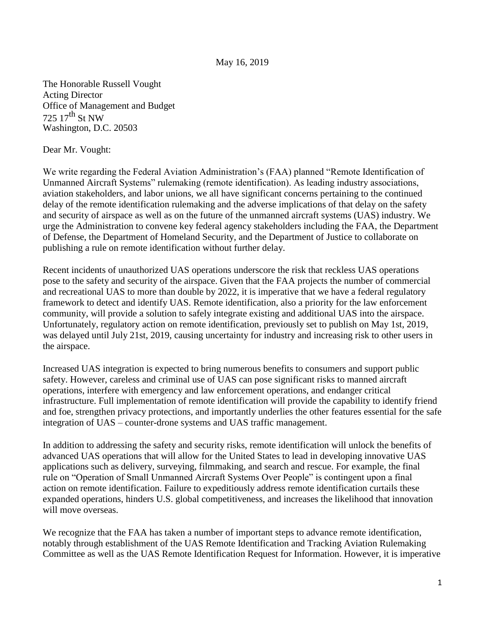## May 16, 2019

The Honorable Russell Vought Acting Director Office of Management and Budget 725 17th St NW Washington, D.C. 20503

Dear Mr. Vought:

We write regarding the Federal Aviation Administration's (FAA) planned "Remote Identification of Unmanned Aircraft Systems" rulemaking (remote identification). As leading industry associations, aviation stakeholders, and labor unions, we all have significant concerns pertaining to the continued delay of the remote identification rulemaking and the adverse implications of that delay on the safety and security of airspace as well as on the future of the unmanned aircraft systems (UAS) industry. We urge the Administration to convene key federal agency stakeholders including the FAA, the Department of Defense, the Department of Homeland Security, and the Department of Justice to collaborate on publishing a rule on remote identification without further delay.

Recent incidents of unauthorized UAS operations underscore the risk that reckless UAS operations pose to the safety and security of the airspace. Given that the FAA projects the number of commercial and recreational UAS to more than double by 2022, it is imperative that we have a federal regulatory framework to detect and identify UAS. Remote identification, also a priority for the law enforcement community, will provide a solution to safely integrate existing and additional UAS into the airspace. Unfortunately, regulatory action on remote identification, previously set to publish on May 1st, 2019, was delayed until July 21st, 2019, causing uncertainty for industry and increasing risk to other users in the airspace.

Increased UAS integration is expected to bring numerous benefits to consumers and support public safety. However, careless and criminal use of UAS can pose significant risks to manned aircraft operations, interfere with emergency and law enforcement operations, and endanger critical infrastructure. Full implementation of remote identification will provide the capability to identify friend and foe, strengthen privacy protections, and importantly underlies the other features essential for the safe integration of UAS – counter-drone systems and UAS traffic management.

In addition to addressing the safety and security risks, remote identification will unlock the benefits of advanced UAS operations that will allow for the United States to lead in developing innovative UAS applications such as delivery, surveying, filmmaking, and search and rescue. For example, the final rule on "Operation of Small Unmanned Aircraft Systems Over People" is contingent upon a final action on remote identification. Failure to expeditiously address remote identification curtails these expanded operations, hinders U.S. global competitiveness, and increases the likelihood that innovation will move overseas.

We recognize that the FAA has taken a number of important steps to advance remote identification, notably through establishment of the UAS Remote Identification and Tracking Aviation Rulemaking Committee as well as the UAS Remote Identification Request for Information. However, it is imperative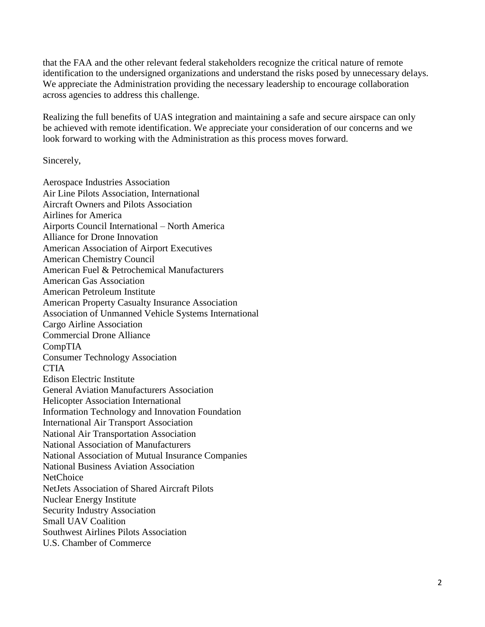that the FAA and the other relevant federal stakeholders recognize the critical nature of remote identification to the undersigned organizations and understand the risks posed by unnecessary delays. We appreciate the Administration providing the necessary leadership to encourage collaboration across agencies to address this challenge.

Realizing the full benefits of UAS integration and maintaining a safe and secure airspace can only be achieved with remote identification. We appreciate your consideration of our concerns and we look forward to working with the Administration as this process moves forward.

Sincerely,

Aerospace Industries Association Air Line Pilots Association, International Aircraft Owners and Pilots Association Airlines for America Airports Council International – North America Alliance for Drone Innovation American Association of Airport Executives American Chemistry Council American Fuel & Petrochemical Manufacturers American Gas Association American Petroleum Institute American Property Casualty Insurance Association Association of Unmanned Vehicle Systems International Cargo Airline Association Commercial Drone Alliance CompTIA Consumer Technology Association CTIA Edison Electric Institute General Aviation Manufacturers Association Helicopter Association International Information Technology and Innovation Foundation International Air Transport Association National Air Transportation Association National Association of Manufacturers National Association of Mutual Insurance Companies National Business Aviation Association **NetChoice** NetJets Association of Shared Aircraft Pilots Nuclear Energy Institute Security Industry Association Small UAV Coalition Southwest Airlines Pilots Association U.S. Chamber of Commerce